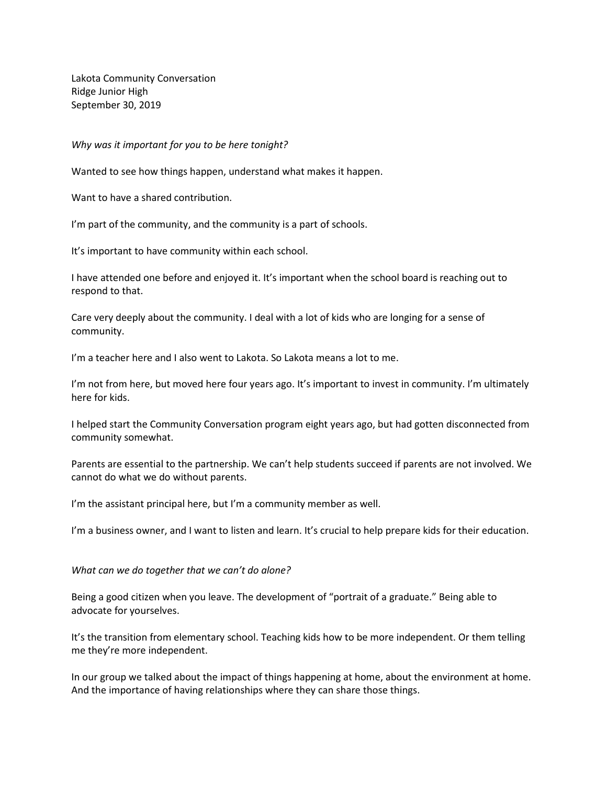Lakota Community Conversation Ridge Junior High September 30, 2019

*Why was it important for you to be here tonight?*

Wanted to see how things happen, understand what makes it happen.

Want to have a shared contribution.

I'm part of the community, and the community is a part of schools.

It's important to have community within each school.

I have attended one before and enjoyed it. It's important when the school board is reaching out to respond to that.

Care very deeply about the community. I deal with a lot of kids who are longing for a sense of community.

I'm a teacher here and I also went to Lakota. So Lakota means a lot to me.

I'm not from here, but moved here four years ago. It's important to invest in community. I'm ultimately here for kids.

I helped start the Community Conversation program eight years ago, but had gotten disconnected from community somewhat.

Parents are essential to the partnership. We can't help students succeed if parents are not involved. We cannot do what we do without parents.

I'm the assistant principal here, but I'm a community member as well.

I'm a business owner, and I want to listen and learn. It's crucial to help prepare kids for their education.

*What can we do together that we can't do alone?*

Being a good citizen when you leave. The development of "portrait of a graduate." Being able to advocate for yourselves.

It's the transition from elementary school. Teaching kids how to be more independent. Or them telling me they're more independent.

In our group we talked about the impact of things happening at home, about the environment at home. And the importance of having relationships where they can share those things.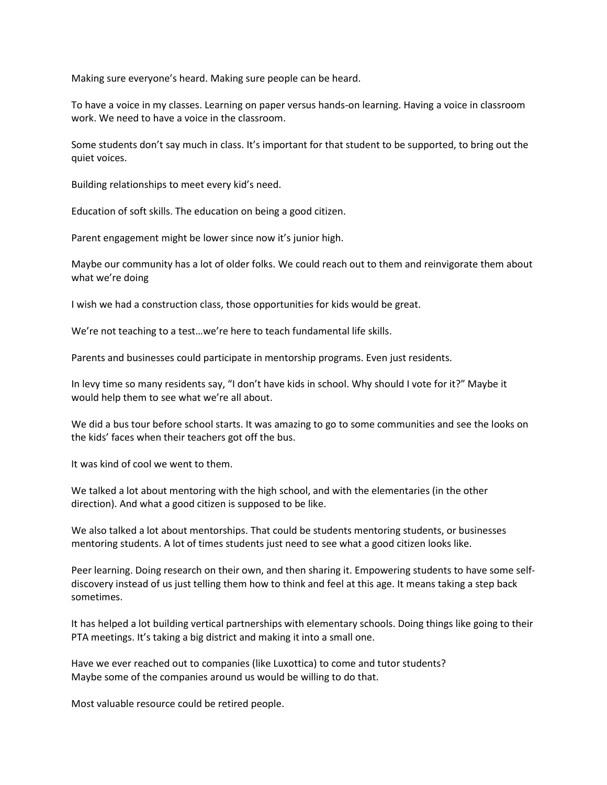Making sure everyone's heard. Making sure people can be heard.

To have a voice in my classes. Learning on paper versus hands-on learning. Having a voice in classroom work. We need to have a voice in the classroom.

Some students don't say much in class. It's important for that student to be supported, to bring out the quiet voices.

Building relationships to meet every kid's need.

Education of soft skills. The education on being a good citizen.

Parent engagement might be lower since now it's junior high.

Maybe our community has a lot of older folks. We could reach out to them and reinvigorate them about what we're doing

I wish we had a construction class, those opportunities for kids would be great.

We're not teaching to a test…we're here to teach fundamental life skills.

Parents and businesses could participate in mentorship programs. Even just residents.

In levy time so many residents say, "I don't have kids in school. Why should I vote for it?" Maybe it would help them to see what we're all about.

We did a bus tour before school starts. It was amazing to go to some communities and see the looks on the kids' faces when their teachers got off the bus.

It was kind of cool we went to them.

We talked a lot about mentoring with the high school, and with the elementaries (in the other direction). And what a good citizen is supposed to be like.

We also talked a lot about mentorships. That could be students mentoring students, or businesses mentoring students. A lot of times students just need to see what a good citizen looks like.

Peer learning. Doing research on their own, and then sharing it. Empowering students to have some selfdiscovery instead of us just telling them how to think and feel at this age. It means taking a step back sometimes.

It has helped a lot building vertical partnerships with elementary schools. Doing things like going to their PTA meetings. It's taking a big district and making it into a small one.

Have we ever reached out to companies (like Luxottica) to come and tutor students? Maybe some of the companies around us would be willing to do that.

Most valuable resource could be retired people.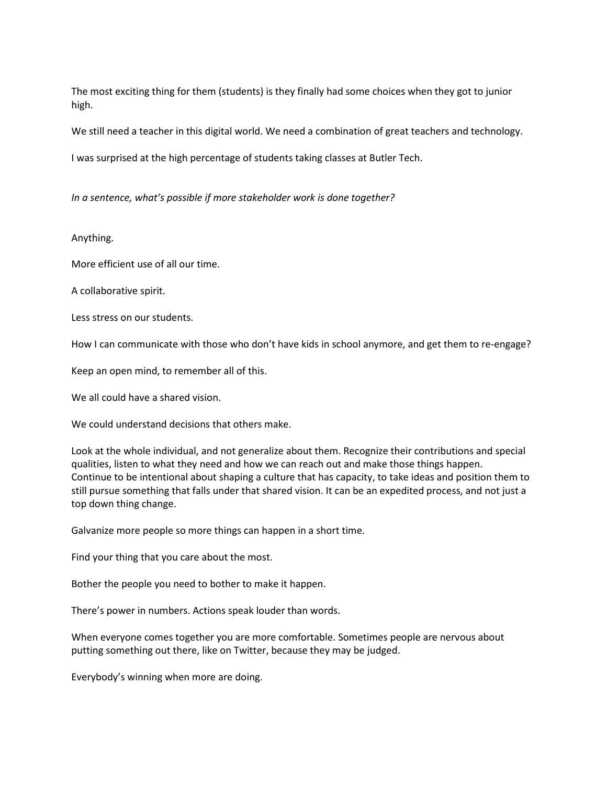The most exciting thing for them (students) is they finally had some choices when they got to junior high.

We still need a teacher in this digital world. We need a combination of great teachers and technology.

I was surprised at the high percentage of students taking classes at Butler Tech.

*In a sentence, what's possible if more stakeholder work is done together?*

Anything.

More efficient use of all our time.

A collaborative spirit.

Less stress on our students.

How I can communicate with those who don't have kids in school anymore, and get them to re-engage?

Keep an open mind, to remember all of this.

We all could have a shared vision.

We could understand decisions that others make.

Look at the whole individual, and not generalize about them. Recognize their contributions and special qualities, listen to what they need and how we can reach out and make those things happen. Continue to be intentional about shaping a culture that has capacity, to take ideas and position them to still pursue something that falls under that shared vision. It can be an expedited process, and not just a top down thing change.

Galvanize more people so more things can happen in a short time.

Find your thing that you care about the most.

Bother the people you need to bother to make it happen.

There's power in numbers. Actions speak louder than words.

When everyone comes together you are more comfortable. Sometimes people are nervous about putting something out there, like on Twitter, because they may be judged.

Everybody's winning when more are doing.